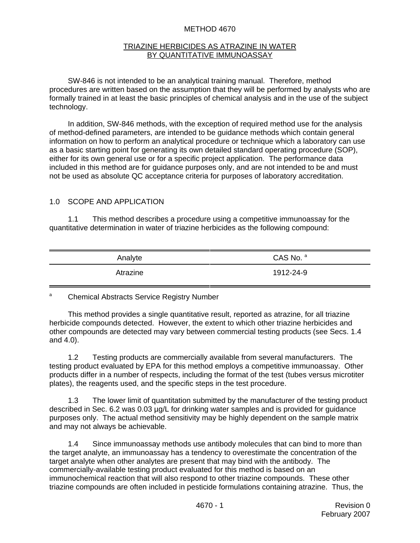#### METHOD 4670

#### TRIAZINE HERBICIDES AS ATRAZINE IN WATER BY QUANTITATIVE IMMUNOASSAY

SW-846 is not intended to be an analytical training manual. Therefore, method procedures are written based on the assumption that they will be performed by analysts who are formally trained in at least the basic principles of chemical analysis and in the use of the subject technology.

In addition, SW-846 methods, with the exception of required method use for the analysis of method-defined parameters, are intended to be guidance methods which contain general information on how to perform an analytical procedure or technique which a laboratory can use as a basic starting point for generating its own detailed standard operating procedure (SOP), either for its own general use or for a specific project application. The performance data included in this method are for guidance purposes only, and are not intended to be and must not be used as absolute QC acceptance criteria for purposes of laboratory accreditation.

#### 1.0 SCOPE AND APPLICATION

1.1 This method describes a procedure using a competitive immunoassay for the quantitative determination in water of triazine herbicides as the following compound:

| Analyte  | CAS No. a |
|----------|-----------|
| Atrazine | 1912-24-9 |

# a Chemical Abstracts Service Registry Number

This method provides a single quantitative result, reported as atrazine, for all triazine herbicide compounds detected. However, the extent to which other triazine herbicides and other compounds are detected may vary between commercial testing products (see Secs. 1.4 and 4.0).

1.2 Testing products are commercially available from several manufacturers. The testing product evaluated by EPA for this method employs a competitive immunoassay. Other products differ in a number of respects, including the format of the test (tubes versus microtiter plates), the reagents used, and the specific steps in the test procedure.

1.3 The lower limit of quantitation submitted by the manufacturer of the testing product described in Sec. 6.2 was 0.03 µg/L for drinking water samples and is provided for guidance purposes only. The actual method sensitivity may be highly dependent on the sample matrix and may not always be achievable.

1.4 Since immunoassay methods use antibody molecules that can bind to more than the target analyte, an immunoassay has a tendency to overestimate the concentration of the target analyte when other analytes are present that may bind with the antibody. The commercially-available testing product evaluated for this method is based on an immunochemical reaction that will also respond to other triazine compounds. These other triazine compounds are often included in pesticide formulations containing atrazine. Thus, the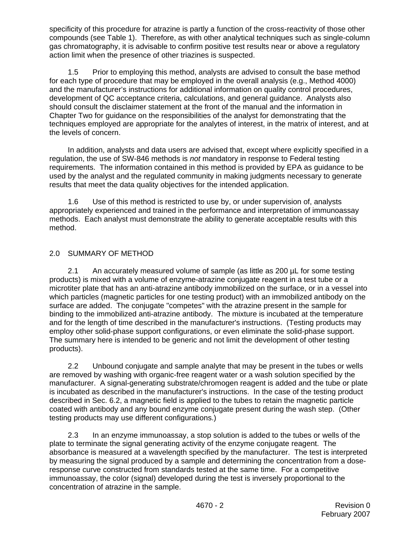specificity of this procedure for atrazine is partly a function of the cross-reactivity of those other compounds (see Table 1). Therefore, as with other analytical techniques such as single-column gas chromatography, it is advisable to confirm positive test results near or above a regulatory action limit when the presence of other triazines is suspected.

1.5 Prior to employing this method, analysts are advised to consult the base method for each type of procedure that may be employed in the overall analysis (e.g., Method 4000) and the manufacturer's instructions for additional information on quality control procedures, development of QC acceptance criteria, calculations, and general guidance. Analysts also should consult the disclaimer statement at the front of the manual and the information in Chapter Two for guidance on the responsibilities of the analyst for demonstrating that the techniques employed are appropriate for the analytes of interest, in the matrix of interest, and at the levels of concern.

In addition, analysts and data users are advised that, except where explicitly specified in a regulation, the use of SW-846 methods is *not* mandatory in response to Federal testing requirements. The information contained in this method is provided by EPA as guidance to be used by the analyst and the regulated community in making judgments necessary to generate results that meet the data quality objectives for the intended application.

1.6 Use of this method is restricted to use by, or under supervision of, analysts appropriately experienced and trained in the performance and interpretation of immunoassay methods. Each analyst must demonstrate the ability to generate acceptable results with this method.

# 2.0 SUMMARY OF METHOD

2.1 An accurately measured volume of sample (as little as 200 µL for some testing products) is mixed with a volume of enzyme-atrazine conjugate reagent in a test tube or a microtiter plate that has an anti-atrazine antibody immobilized on the surface, or in a vessel into which particles (magnetic particles for one testing product) with an immobilized antibody on the surface are added. The conjugate "competes" with the atrazine present in the sample for binding to the immobilized anti-atrazine antibody. The mixture is incubated at the temperature and for the length of time described in the manufacturer's instructions. (Testing products may employ other solid-phase support configurations, or even eliminate the solid-phase support. The summary here is intended to be generic and not limit the development of other testing products).

2.2 Unbound conjugate and sample analyte that may be present in the tubes or wells are removed by washing with organic-free reagent water or a wash solution specified by the manufacturer. A signal-generating substrate/chromogen reagent is added and the tube or plate is incubated as described in the manufacturer's instructions. In the case of the testing product described in Sec. 6.2, a magnetic field is applied to the tubes to retain the magnetic particle coated with antibody and any bound enzyme conjugate present during the wash step. (Other testing products may use different configurations.)

2.3 In an enzyme immunoassay, a stop solution is added to the tubes or wells of the plate to terminate the signal generating activity of the enzyme conjugate reagent. The absorbance is measured at a wavelength specified by the manufacturer. The test is interpreted by measuring the signal produced by a sample and determining the concentration from a doseresponse curve constructed from standards tested at the same time. For a competitive immunoassay, the color (signal) developed during the test is inversely proportional to the concentration of atrazine in the sample.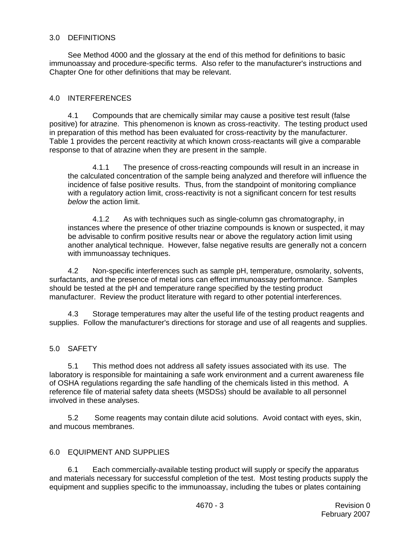## 3.0 DEFINITIONS

See Method 4000 and the glossary at the end of this method for definitions to basic immunoassay and procedure-specific terms. Also refer to the manufacturer's instructions and Chapter One for other definitions that may be relevant.

## 4.0 INTERFERENCES

4.1 Compounds that are chemically similar may cause a positive test result (false positive) for atrazine. This phenomenon is known as cross-reactivity. The testing product used in preparation of this method has been evaluated for cross-reactivity by the manufacturer. Table 1 provides the percent reactivity at which known cross-reactants will give a comparable response to that of atrazine when they are present in the sample.

4.1.1 The presence of cross-reacting compounds will result in an increase in the calculated concentration of the sample being analyzed and therefore will influence the incidence of false positive results. Thus, from the standpoint of monitoring compliance with a regulatory action limit, cross-reactivity is not a significant concern for test results *below* the action limit.

4.1.2 As with techniques such as single-column gas chromatography, in instances where the presence of other triazine compounds is known or suspected, it may be advisable to confirm positive results near or above the regulatory action limit using another analytical technique. However, false negative results are generally not a concern with immunoassay techniques.

4.2 Non-specific interferences such as sample pH, temperature, osmolarity, solvents, surfactants, and the presence of metal ions can effect immunoassay performance. Samples should be tested at the pH and temperature range specified by the testing product manufacturer. Review the product literature with regard to other potential interferences.

4.3 Storage temperatures may alter the useful life of the testing product reagents and supplies. Follow the manufacturer's directions for storage and use of all reagents and supplies.

### 5.0 SAFETY

5.1 This method does not address all safety issues associated with its use. The laboratory is responsible for maintaining a safe work environment and a current awareness file of OSHA regulations regarding the safe handling of the chemicals listed in this method. A reference file of material safety data sheets (MSDSs) should be available to all personnel involved in these analyses.

5.2 Some reagents may contain dilute acid solutions. Avoid contact with eyes, skin, and mucous membranes.

#### 6.0 EQUIPMENT AND SUPPLIES

6.1 Each commercially-available testing product will supply or specify the apparatus and materials necessary for successful completion of the test. Most testing products supply the equipment and supplies specific to the immunoassay, including the tubes or plates containing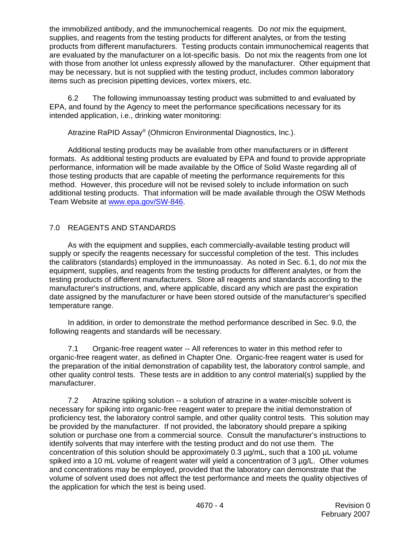the immobilized antibody, and the immunochemical reagents. Do *not* mix the equipment, supplies, and reagents from the testing products for different analytes, or from the testing products from different manufacturers. Testing products contain immunochemical reagents that are evaluated by the manufacturer on a lot-specific basis. Do not mix the reagents from one lot with those from another lot unless expressly allowed by the manufacturer. Other equipment that may be necessary, but is not supplied with the testing product, includes common laboratory items such as precision pipetting devices, vortex mixers, etc.

6.2 The following immunoassay testing product was submitted to and evaluated by EPA, and found by the Agency to meet the performance specifications necessary for its intended application, i.e., drinking water monitoring:

Atrazine RaPID Assay® (Ohmicron Environmental Diagnostics, Inc.).

Additional testing products may be available from other manufacturers or in different formats. As additional testing products are evaluated by EPA and found to provide appropriate performance, information will be made available by the Office of Solid Waste regarding all of those testing products that are capable of meeting the performance requirements for this method. However, this procedure will not be revised solely to include information on such additional testing products. That information will be made available through the OSW Methods Team Website at www.epa.gov/SW-846.

# 7.0 REAGENTS AND STANDARDS

As with the equipment and supplies, each commercially-available testing product will supply or specify the reagents necessary for successful completion of the test. This includes the calibrators (standards) employed in the immunoassay. As noted in Sec. 6.1, do *not* mix the equipment, supplies, and reagents from the testing products for different analytes, or from the testing products of different manufacturers. Store all reagents and standards according to the manufacturer's instructions, and, where applicable, discard any which are past the expiration date assigned by the manufacturer or have been stored outside of the manufacturer's specified temperature range.

In addition, in order to demonstrate the method performance described in Sec. 9.0, the following reagents and standards will be necessary.

7.1 Organic-free reagent water -- All references to water in this method refer to organic-free reagent water, as defined in Chapter One. Organic-free reagent water is used for the preparation of the initial demonstration of capability test, the laboratory control sample, and other quality control tests. These tests are in addition to any control material(s) supplied by the manufacturer.

7.2 Atrazine spiking solution -- a solution of atrazine in a water-miscible solvent is necessary for spiking into organic-free reagent water to prepare the initial demonstration of proficiency test, the laboratory control sample, and other quality control tests. This solution may be provided by the manufacturer. If not provided, the laboratory should prepare a spiking solution or purchase one from a commercial source. Consult the manufacturer's instructions to identify solvents that may interfere with the testing product and do not use them. The concentration of this solution should be approximately 0.3 µg/mL, such that a 100 µL volume spiked into a 10 mL volume of reagent water will yield a concentration of 3  $\mu q/L$ . Other volumes and concentrations may be employed, provided that the laboratory can demonstrate that the volume of solvent used does not affect the test performance and meets the quality objectives of the application for which the test is being used.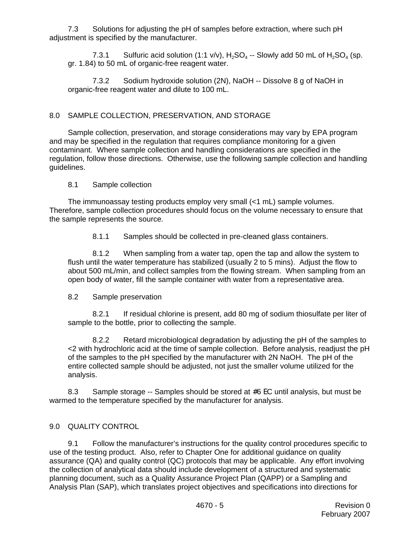7.3 Solutions for adjusting the pH of samples before extraction, where such pH adjustment is specified by the manufacturer.

7.3.1 Sulfuric acid solution (1:1 v/v),  $H_2SO_4$  -- Slowly add 50 mL of  $H_2SO_4$  (sp. gr. 1.84) to 50 mL of organic-free reagent water.

7.3.2 Sodium hydroxide solution (2N), NaOH -- Dissolve 8 g of NaOH in organic-free reagent water and dilute to 100 mL.

## 8.0 SAMPLE COLLECTION, PRESERVATION, AND STORAGE

Sample collection, preservation, and storage considerations may vary by EPA program and may be specified in the regulation that requires compliance monitoring for a given contaminant. Where sample collection and handling considerations are specified in the regulation, follow those directions. Otherwise, use the following sample collection and handling guidelines.

#### 8.1 Sample collection

The immunoassay testing products employ very small (<1 mL) sample volumes. Therefore, sample collection procedures should focus on the volume necessary to ensure that the sample represents the source.

8.1.1 Samples should be collected in pre-cleaned glass containers.

8.1.2 When sampling from a water tap, open the tap and allow the system to flush until the water temperature has stabilized (usually 2 to 5 mins). Adjust the flow to about 500 mL/min, and collect samples from the flowing stream. When sampling from an open body of water, fill the sample container with water from a representative area.

#### 8.2 Sample preservation

8.2.1 If residual chlorine is present, add 80 mg of sodium thiosulfate per liter of sample to the bottle, prior to collecting the sample.

8.2.2 Retard microbiological degradation by adjusting the pH of the samples to <2 with hydrochloric acid at the time of sample collection. Before analysis, readjust the pH of the samples to the pH specified by the manufacturer with 2N NaOH. The pH of the entire collected sample should be adjusted, not just the smaller volume utilized for the analysis.

8.3 Sample storage -- Samples should be stored at #6 EC until analysis, but must be warmed to the temperature specified by the manufacturer for analysis.

#### 9.0 QUALITY CONTROL

9.1 Follow the manufacturer's instructions for the quality control procedures specific to use of the testing product. Also, refer to Chapter One for additional guidance on quality assurance (QA) and quality control (QC) protocols that may be applicable. Any effort involving the collection of analytical data should include development of a structured and systematic planning document, such as a Quality Assurance Project Plan (QAPP) or a Sampling and Analysis Plan (SAP), which translates project objectives and specifications into directions for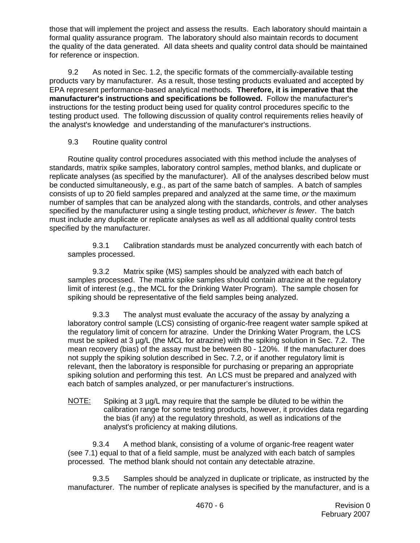those that will implement the project and assess the results. Each laboratory should maintain a formal quality assurance program. The laboratory should also maintain records to document the quality of the data generated. All data sheets and quality control data should be maintained for reference or inspection.

9.2 As noted in Sec. 1.2, the specific formats of the commercially-available testing products vary by manufacturer. As a result, those testing products evaluated and accepted by EPA represent performance-based analytical methods. **Therefore, it is imperative that the manufacturer's instructions and specifications be followed.** Follow the manufacturer's instructions for the testing product being used for quality control procedures specific to the testing product used. The following discussion of quality control requirements relies heavily of the analyst's knowledge and understanding of the manufacturer's instructions.

## 9.3 Routine quality control

Routine quality control procedures associated with this method include the analyses of standards, matrix spike samples, laboratory control samples, method blanks, and duplicate or replicate analyses (as specified by the manufacturer). All of the analyses described below must be conducted simultaneously, e.g., as part of the same batch of samples. A batch of samples consists of up to 20 field samples prepared and analyzed at the same time, *or* the maximum number of samples that can be analyzed along with the standards, controls, and other analyses specified by the manufacturer using a single testing product, *whichever is fewer*. The batch must include any duplicate or replicate analyses as well as all additional quality control tests specified by the manufacturer.

9.3.1 Calibration standards must be analyzed concurrently with each batch of samples processed.

9.3.2 Matrix spike (MS) samples should be analyzed with each batch of samples processed. The matrix spike samples should contain atrazine at the regulatory limit of interest (e.g., the MCL for the Drinking Water Program). The sample chosen for spiking should be representative of the field samples being analyzed.

9.3.3 The analyst must evaluate the accuracy of the assay by analyzing a laboratory control sample (LCS) consisting of organic-free reagent water sample spiked at the regulatory limit of concern for atrazine. Under the Drinking Water Program, the LCS must be spiked at 3 µg/L (the MCL for atrazine) with the spiking solution in Sec. 7.2. The mean recovery (bias) of the assay must be between 80 - 120%. If the manufacturer does not supply the spiking solution described in Sec. 7.2, or if another regulatory limit is relevant, then the laboratory is responsible for purchasing or preparing an appropriate spiking solution and performing this test. An LCS must be prepared and analyzed with each batch of samples analyzed, or per manufacturer's instructions.

NOTE: Spiking at 3 µg/L may require that the sample be diluted to be within the calibration range for some testing products, however, it provides data regarding the bias (if any) at the regulatory threshold, as well as indications of the analyst's proficiency at making dilutions.

9.3.4 A method blank, consisting of a volume of organic-free reagent water (see 7.1) equal to that of a field sample, must be analyzed with each batch of samples processed. The method blank should not contain any detectable atrazine.

9.3.5 Samples should be analyzed in duplicate or triplicate, as instructed by the manufacturer. The number of replicate analyses is specified by the manufacturer, and is a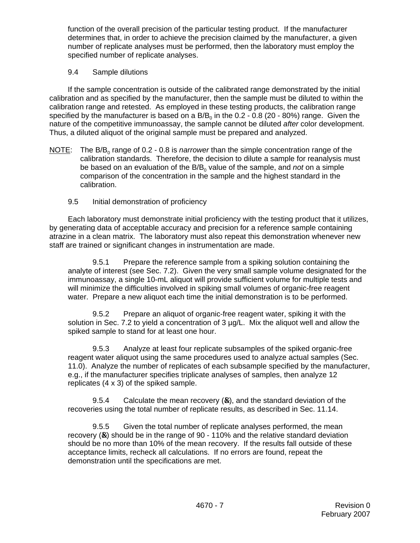function of the overall precision of the particular testing product. If the manufacturer determines that, in order to achieve the precision claimed by the manufacturer, a given number of replicate analyses must be performed, then the laboratory must employ the specified number of replicate analyses.

## 9.4 Sample dilutions

If the sample concentration is outside of the calibrated range demonstrated by the initial calibration and as specified by the manufacturer, then the sample must be diluted to within the calibration range and retested. As employed in these testing products, the calibration range specified by the manufacturer is based on a  $B/B_0$  in the 0.2 - 0.8 (20 - 80%) range. Given the nature of the competitive immunoassay, the sample cannot be diluted *after* color development. Thus, a diluted aliquot of the original sample must be prepared and analyzed.

- NOTE: The B/B<sub>0</sub> range of 0.2 0.8 is *narrower* than the simple concentration range of the calibration standards. Therefore, the decision to dilute a sample for reanalysis must be based on an evaluation of the B/B<sub>0</sub> value of the sample, and *not* on a simple comparison of the concentration in the sample and the highest standard in the calibration.
	- 9.5 Initial demonstration of proficiency

Each laboratory must demonstrate initial proficiency with the testing product that it utilizes, by generating data of acceptable accuracy and precision for a reference sample containing atrazine in a clean matrix. The laboratory must also repeat this demonstration whenever new staff are trained or significant changes in instrumentation are made.

9.5.1 Prepare the reference sample from a spiking solution containing the analyte of interest (see Sec. 7.2). Given the very small sample volume designated for the immunoassay, a single 10-mL aliquot will provide sufficient volume for multiple tests and will minimize the difficulties involved in spiking small volumes of organic-free reagent water. Prepare a new aliquot each time the initial demonstration is to be performed.

9.5.2 Prepare an aliquot of organic-free reagent water, spiking it with the solution in Sec. 7.2 to yield a concentration of 3 µg/L. Mix the aliquot well and allow the spiked sample to stand for at least one hour.

9.5.3 Analyze at least four replicate subsamples of the spiked organic-free reagent water aliquot using the same procedures used to analyze actual samples (Sec. 11.0). Analyze the number of replicates of each subsample specified by the manufacturer, e.g., if the manufacturer specifies triplicate analyses of samples, then analyze 12 replicates (4 x 3) of the spiked sample.

9.5.4 Calculate the mean recovery  $(\triangle x)$ , and the standard deviation of the recoveries using the total number of replicate results, as described in Sec. 11.14.

9.5.5 Given the total number of replicate analyses performed, the mean recovery  $(x)$  should be in the range of 90 - 110% and the relative standard deviation should be no more than 10% of the mean recovery. If the results fall outside of these acceptance limits, recheck all calculations. If no errors are found, repeat the demonstration until the specifications are met.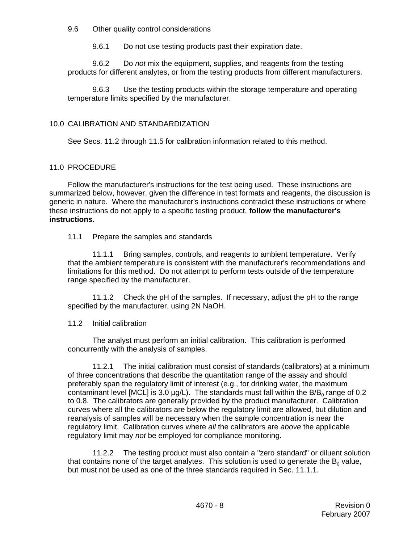9.6 Other quality control considerations

9.6.1 Do not use testing products past their expiration date.

9.6.2 Do *not* mix the equipment, supplies, and reagents from the testing products for different analytes, or from the testing products from different manufacturers.

9.6.3 Use the testing products within the storage temperature and operating temperature limits specified by the manufacturer.

## 10.0 CALIBRATION AND STANDARDIZATION

See Secs. 11.2 through 11.5 for calibration information related to this method.

#### 11.0 PROCEDURE

Follow the manufacturer's instructions for the test being used. These instructions are summarized below, however, given the difference in test formats and reagents, the discussion is generic in nature. Where the manufacturer's instructions contradict these instructions or where these instructions do not apply to a specific testing product, **follow the manufacturer's instructions.**

#### 11.1 Prepare the samples and standards

11.1.1 Bring samples, controls, and reagents to ambient temperature. Verify that the ambient temperature is consistent with the manufacturer's recommendations and limitations for this method. Do not attempt to perform tests outside of the temperature range specified by the manufacturer.

11.1.2 Check the pH of the samples. If necessary, adjust the pH to the range specified by the manufacturer, using 2N NaOH.

#### 11.2 Initial calibration

The analyst must perform an initial calibration. This calibration is performed concurrently with the analysis of samples.

11.2.1 The initial calibration must consist of standards (calibrators) at a minimum of three concentrations that describe the quantitation range of the assay and should preferably span the regulatory limit of interest (e.g., for drinking water, the maximum contaminant level [MCL] is 3.0  $\mu$ g/L). The standards must fall within the B/B<sub>0</sub> range of 0.2 to 0.8. The calibrators are generally provided by the product manufacturer. Calibration curves where all the calibrators are below the regulatory limit are allowed, but dilution and reanalysis of samples will be necessary when the sample concentration is near the regulatory limit. Calibration curves where *all* the calibrators are *above* the applicable regulatory limit may *not* be employed for compliance monitoring.

11.2.2 The testing product must also contain a "zero standard" or diluent solution that contains none of the target analytes. This solution is used to generate the  $B_0$  value, but must not be used as one of the three standards required in Sec. 11.1.1.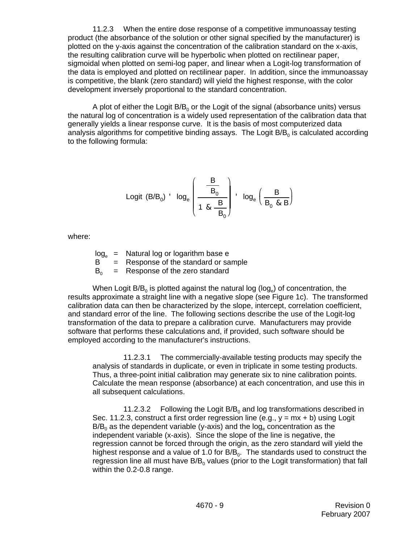11.2.3 When the entire dose response of a competitive immunoassay testing product (the absorbance of the solution or other signal specified by the manufacturer) is plotted on the y-axis against the concentration of the calibration standard on the x-axis, the resulting calibration curve will be hyperbolic when plotted on rectilinear paper, sigmoidal when plotted on semi-log paper, and linear when a Logit-log transformation of the data is employed and plotted on rectilinear paper. In addition, since the immunoassay is competitive, the blank (zero standard) will yield the highest response, with the color development inversely proportional to the standard concentration.

A plot of either the Logit  $B/B<sub>0</sub>$  or the Logit of the signal (absorbance units) versus the natural log of concentration is a widely used representation of the calibration data that generally yields a linear response curve. It is the basis of most computerized data analysis algorithms for competitive binding assays. The Logit  $B/B<sub>0</sub>$  is calculated according to the following formula:

$$
\text{Logit (B/B0)} \quad \text{log}_e \left( \frac{\frac{B}{B_0}}{1 \text{ \& } \frac{B}{B_0}} \right) \quad \text{log}_e \left( \frac{B}{B_0 \text{ \& } B} \right)
$$

where:

 $log_e$  = Natural log or logarithm base e<br>B = Response of the standard or sa  $=$  Response of the standard or sample  $B_0$  = Response of the zero standard

When Logit  $B/B_0$  is plotted against the natural log (log.) of concentration, the results approximate a straight line with a negative slope (see Figure 1c). The transformed calibration data can then be characterized by the slope, intercept, correlation coefficient, and standard error of the line. The following sections describe the use of the Logit-log transformation of the data to prepare a calibration curve. Manufacturers may provide software that performs these calculations and, if provided, such software should be employed according to the manufacturer's instructions.

11.2.3.1 The commercially-available testing products may specify the analysis of standards in duplicate, or even in triplicate in some testing products. Thus, a three-point initial calibration may generate six to nine calibration points. Calculate the mean response (absorbance) at each concentration, and use this in all subsequent calculations.

11.2.3.2 Following the Logit  $B/B<sub>0</sub>$  and log transformations described in Sec. 11.2.3, construct a first order regression line (e.g.,  $y = mx + b$ ) using Logit  $B/B_0$  as the dependent variable (y-axis) and the log<sub>e</sub> concentration as the independent variable (x-axis). Since the slope of the line is negative, the regression cannot be forced through the origin, as the zero standard will yield the highest response and a value of 1.0 for  $B/B_0$ . The standards used to construct the regression line all must have  $B/B<sub>0</sub>$  values (prior to the Logit transformation) that fall within the 0.2-0.8 range.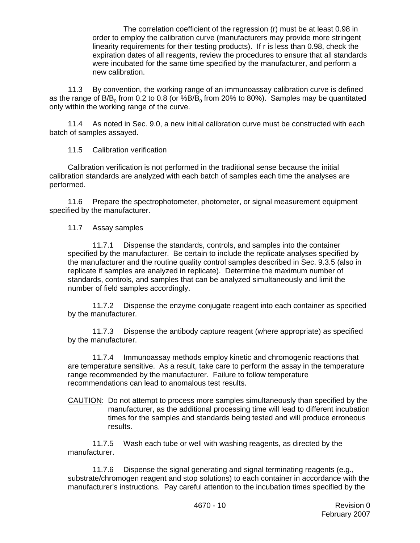The correlation coefficient of the regression (r) must be at least 0.98 in order to employ the calibration curve (manufacturers may provide more stringent linearity requirements for their testing products). If r is less than 0.98, check the expiration dates of all reagents, review the procedures to ensure that all standards were incubated for the same time specified by the manufacturer, and perform a new calibration.

11.3 By convention, the working range of an immunoassay calibration curve is defined as the range of B/B<sub>0</sub> from 0.2 to 0.8 (or %B/B<sub>0</sub> from 20% to 80%). Samples may be quantitated only within the working range of the curve.

11.4 As noted in Sec. 9.0, a new initial calibration curve must be constructed with each batch of samples assayed.

11.5 Calibration verification

Calibration verification is not performed in the traditional sense because the initial calibration standards are analyzed with each batch of samples each time the analyses are performed.

11.6 Prepare the spectrophotometer, photometer, or signal measurement equipment specified by the manufacturer.

#### 11.7 Assay samples

11.7.1 Dispense the standards, controls, and samples into the container specified by the manufacturer. Be certain to include the replicate analyses specified by the manufacturer and the routine quality control samples described in Sec. 9.3.5 (also in replicate if samples are analyzed in replicate). Determine the maximum number of standards, controls, and samples that can be analyzed simultaneously and limit the number of field samples accordingly.

11.7.2 Dispense the enzyme conjugate reagent into each container as specified by the manufacturer.

11.7.3 Dispense the antibody capture reagent (where appropriate) as specified by the manufacturer.

11.7.4 Immunoassay methods employ kinetic and chromogenic reactions that are temperature sensitive. As a result, take care to perform the assay in the temperature range recommended by the manufacturer. Failure to follow temperature recommendations can lead to anomalous test results.

CAUTION: Do not attempt to process more samples simultaneously than specified by the manufacturer, as the additional processing time will lead to different incubation times for the samples and standards being tested and will produce erroneous results.

11.7.5 Wash each tube or well with washing reagents, as directed by the manufacturer.

11.7.6 Dispense the signal generating and signal terminating reagents (e.g., substrate/chromogen reagent and stop solutions) to each container in accordance with the manufacturer's instructions. Pay careful attention to the incubation times specified by the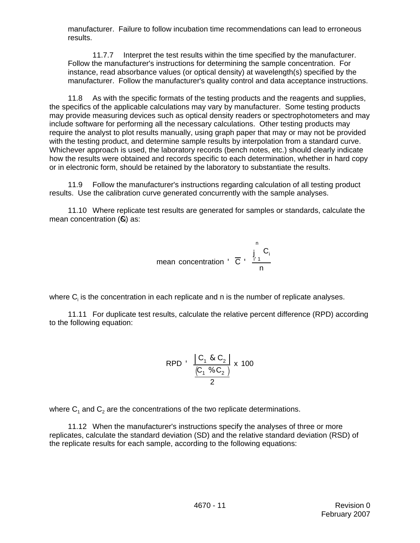manufacturer. Failure to follow incubation time recommendations can lead to erroneous results.

11.7.7 Interpret the test results within the time specified by the manufacturer. Follow the manufacturer's instructions for determining the sample concentration. For instance, read absorbance values (or optical density) at wavelength(s) specified by the manufacturer. Follow the manufacturer's quality control and data acceptance instructions.

11.8 As with the specific formats of the testing products and the reagents and supplies, the specifics of the applicable calculations may vary by manufacturer. Some testing products may provide measuring devices such as optical density readers or spectrophotometers and may include software for performing all the necessary calculations. Other testing products may require the analyst to plot results manually, using graph paper that may or may not be provided with the testing product, and determine sample results by interpolation from a standard curve. Whichever approach is used, the laboratory records (bench notes, etc.) should clearly indicate how the results were obtained and records specific to each determination, whether in hard copy or in electronic form, should be retained by the laboratory to substantiate the results.

11.9 Follow the manufacturer's instructions regarding calculation of all testing product results. Use the calibration curve generated concurrently with the sample analyses.

11.10 Where replicate test results are generated for samples or standards, calculate the mean concentration  $(\mathbf{R})$  as:

mean concentration 
$$
\overline{C}
$$
  $\frac{\int_{1}^{n} C_i}{n}$ 

where  $\mathsf{C}_\mathsf{i}$  is the concentration in each replicate and n is the number of replicate analyses.

11.11 For duplicate test results, calculate the relative percent difference (RPD) according to the following equation:

$$
\text{RPD} \quad \frac{\begin{vmatrix} C_1 & \& C_2 \end{vmatrix}}{\begin{vmatrix} C_1 & \& C_2 \end{vmatrix}} \times 100
$$

where  $C_1$  and  $C_2$  are the concentrations of the two replicate determinations.

11.12 When the manufacturer's instructions specify the analyses of three or more replicates, calculate the standard deviation (SD) and the relative standard deviation (RSD) of the replicate results for each sample, according to the following equations: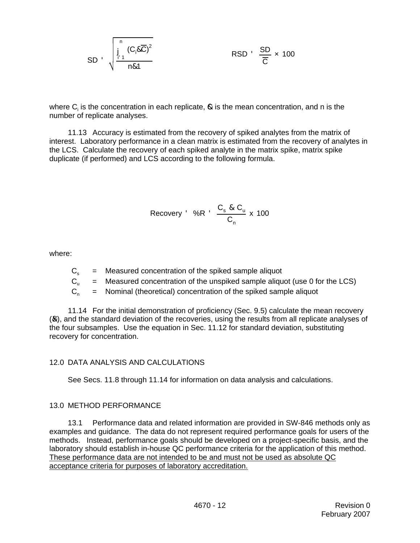$$
SD \t\left(\n\begin{array}{ccc}\n0 & C_1 & \Delta\overline{C} \\
\frac{\overline{P}^1}{11} & \Delta\overline{C} & \Delta\overline{C}\n\end{array}\n\right)
$$
\n
$$
RSD \t\frac{SD}{\overline{C}} \times 100
$$

where  $C_i$  is the concentration in each replicate,  $\clubsuit$  is the mean concentration, and n is the number of replicate analyses.

11.13 Accuracy is estimated from the recovery of spiked analytes from the matrix of interest. Laboratory performance in a clean matrix is estimated from the recovery of analytes in the LCS. Calculate the recovery of each spiked analyte in the matrix spike, matrix spike duplicate (if performed) and LCS according to the following formula.

$$
\text{Recovery} \quad \%R \quad \frac{C_s \& C_u}{C_n} \times 100
$$

where:

- $C_{\rm s}$  = Measured concentration of the spiked sample aliquot
- $C_{u}$  = Measured concentration of the unspiked sample aliquot (use 0 for the LCS)

 $C_n$  = Nominal (theoretical) concentration of the spiked sample aliquot

11.14 For the initial demonstration of proficiency (Sec. 9.5) calculate the mean recovery (&X), and the standard deviation of the recoveries, using the results from all replicate analyses of the four subsamples. Use the equation in Sec. 11.12 for standard deviation, substituting recovery for concentration.

## 12.0 DATA ANALYSIS AND CALCULATIONS

See Secs. 11.8 through 11.14 for information on data analysis and calculations.

#### 13.0 METHOD PERFORMANCE

13.1 Performance data and related information are provided in SW-846 methods only as examples and guidance. The data do not represent required performance goals for users of the methods. Instead, performance goals should be developed on a project-specific basis, and the laboratory should establish in-house QC performance criteria for the application of this method. These performance data are not intended to be and must not be used as absolute QC acceptance criteria for purposes of laboratory accreditation.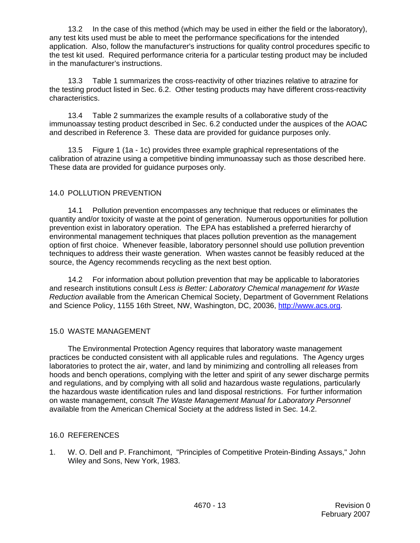13.2 In the case of this method (which may be used in either the field or the laboratory), any test kits used must be able to meet the performance specifications for the intended application. Also, follow the manufacturer's instructions for quality control procedures specific to the test kit used. Required performance criteria for a particular testing product may be included in the manufacturer's instructions.

13.3 Table 1 summarizes the cross-reactivity of other triazines relative to atrazine for the testing product listed in Sec. 6.2. Other testing products may have different cross-reactivity characteristics.

13.4 Table 2 summarizes the example results of a collaborative study of the immunoassay testing product described in Sec. 6.2 conducted under the auspices of the AOAC and described in Reference 3. These data are provided for guidance purposes only.

13.5 Figure 1 (1a - 1c) provides three example graphical representations of the calibration of atrazine using a competitive binding immunoassay such as those described here. These data are provided for guidance purposes only.

## 14.0 POLLUTION PREVENTION

14.1 Pollution prevention encompasses any technique that reduces or eliminates the quantity and/or toxicity of waste at the point of generation. Numerous opportunities for pollution prevention exist in laboratory operation. The EPA has established a preferred hierarchy of environmental management techniques that places pollution prevention as the management option of first choice. Whenever feasible, laboratory personnel should use pollution prevention techniques to address their waste generation. When wastes cannot be feasibly reduced at the source, the Agency recommends recycling as the next best option.

14.2 For information about pollution prevention that may be applicable to laboratories and research institutions consult *Less is Better: Laboratory Chemical management for Waste Reduction* available from the American Chemical Society, Department of Government Relations and Science Policy, 1155 16th Street, NW, Washington, DC, 20036, http://www.acs.org.

#### 15.0 WASTE MANAGEMENT

The Environmental Protection Agency requires that laboratory waste management practices be conducted consistent with all applicable rules and regulations. The Agency urges laboratories to protect the air, water, and land by minimizing and controlling all releases from hoods and bench operations, complying with the letter and spirit of any sewer discharge permits and regulations, and by complying with all solid and hazardous waste regulations, particularly the hazardous waste identification rules and land disposal restrictions. For further information on waste management, consult *The Waste Management Manual for Laboratory Personnel* available from the American Chemical Society at the address listed in Sec. 14.2.

#### 16.0 REFERENCES

1. W. O. Dell and P. Franchimont, "Principles of Competitive Protein-Binding Assays," John Wiley and Sons, New York, 1983.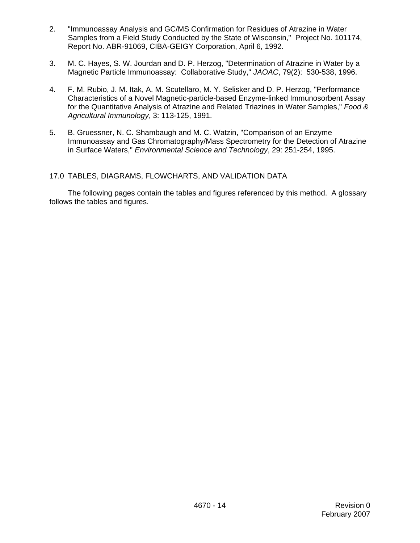- 2. "Immunoassay Analysis and GC/MS Confirmation for Residues of Atrazine in Water Samples from a Field Study Conducted by the State of Wisconsin," Project No. 101174, Report No. ABR-91069, CIBA-GEIGY Corporation, April 6, 1992.
- 3. M. C. Hayes, S. W. Jourdan and D. P. Herzog, "Determination of Atrazine in Water by a Magnetic Particle Immunoassay: Collaborative Study," *JAOAC*, 79(2): 530-538, 1996.
- 4. F. M. Rubio, J. M. Itak, A. M. Scutellaro, M. Y. Selisker and D. P. Herzog, "Performance Characteristics of a Novel Magnetic-particle-based Enzyme-linked Immunosorbent Assay for the Quantitative Analysis of Atrazine and Related Triazines in Water Samples," *Food & Agricultural Immunology*, 3: 113-125, 1991.
- 5. B. Gruessner, N. C. Shambaugh and M. C. Watzin, "Comparison of an Enzyme Immunoassay and Gas Chromatography/Mass Spectrometry for the Detection of Atrazine in Surface Waters," *Environmental Science and Technology*, 29: 251-254, 1995.

#### 17.0 TABLES, DIAGRAMS, FLOWCHARTS, AND VALIDATION DATA

The following pages contain the tables and figures referenced by this method. A glossary follows the tables and figures.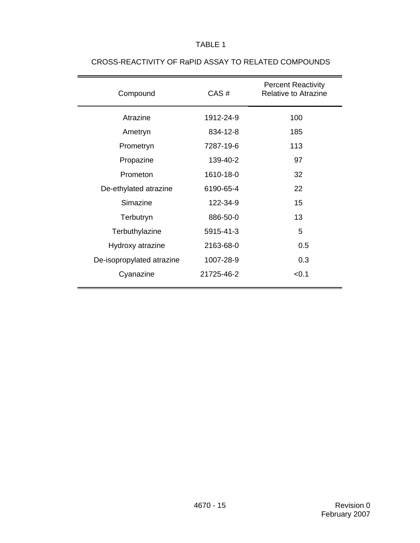# TABLE 1

| Compound                  | CAS#       | <b>Percent Reactivity</b><br>Relative to Atrazine |  |
|---------------------------|------------|---------------------------------------------------|--|
| Atrazine                  | 1912-24-9  | 100                                               |  |
| Ametryn                   | 834-12-8   | 185                                               |  |
| Prometryn                 | 7287-19-6  | 113                                               |  |
| Propazine                 | 139-40-2   | 97                                                |  |
| Prometon                  | 1610-18-0  | 32                                                |  |
| De-ethylated atrazine     | 6190-65-4  | 22                                                |  |
| Simazine                  | 122-34-9   | 15                                                |  |
| Terbutryn                 | 886-50-0   | 13                                                |  |
| Terbuthylazine            | 5915-41-3  | 5                                                 |  |
| Hydroxy atrazine          | 2163-68-0  | 0.5                                               |  |
| De-isopropylated atrazine | 1007-28-9  | 0.3                                               |  |
| Cyanazine                 | 21725-46-2 | < 0.1                                             |  |

# CROSS-REACTIVITY OF RaPID ASSAY TO RELATED COMPOUNDS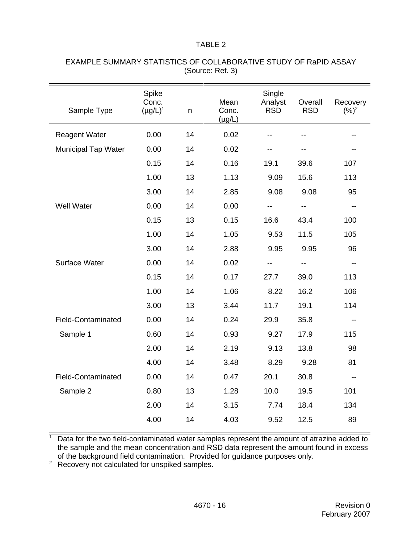#### TABLE 2

| Sample Type                | Spike<br>Conc.<br>$(\mu g/L)^1$ | n  | Mean<br>Conc.<br>$(\mu g/L)$ | Single<br>Analyst<br><b>RSD</b> | Overall<br><b>RSD</b> | Recovery<br>$(%)^2$      |
|----------------------------|---------------------------------|----|------------------------------|---------------------------------|-----------------------|--------------------------|
| <b>Reagent Water</b>       | 0.00                            | 14 | 0.02                         |                                 |                       |                          |
| <b>Municipal Tap Water</b> | 0.00                            | 14 | 0.02                         | --                              |                       |                          |
|                            | 0.15                            | 14 | 0.16                         | 19.1                            | 39.6                  | 107                      |
|                            | 1.00                            | 13 | 1.13                         | 9.09                            | 15.6                  | 113                      |
|                            | 3.00                            | 14 | 2.85                         | 9.08                            | 9.08                  | 95                       |
| <b>Well Water</b>          | 0.00                            | 14 | 0.00                         |                                 |                       |                          |
|                            | 0.15                            | 13 | 0.15                         | 16.6                            | 43.4                  | 100                      |
|                            | 1.00                            | 14 | 1.05                         | 9.53                            | 11.5                  | 105                      |
|                            | 3.00                            | 14 | 2.88                         | 9.95                            | 9.95                  | 96                       |
| Surface Water              | 0.00                            | 14 | 0.02                         |                                 | --                    |                          |
|                            | 0.15                            | 14 | 0.17                         | 27.7                            | 39.0                  | 113                      |
|                            | 1.00                            | 14 | 1.06                         | 8.22                            | 16.2                  | 106                      |
|                            | 3.00                            | 13 | 3.44                         | 11.7                            | 19.1                  | 114                      |
| <b>Field-Contaminated</b>  | 0.00                            | 14 | 0.24                         | 29.9                            | 35.8                  |                          |
| Sample 1                   | 0.60                            | 14 | 0.93                         | 9.27                            | 17.9                  | 115                      |
|                            | 2.00                            | 14 | 2.19                         | 9.13                            | 13.8                  | 98                       |
|                            | 4.00                            | 14 | 3.48                         | 8.29                            | 9.28                  | 81                       |
| <b>Field-Contaminated</b>  | 0.00                            | 14 | 0.47                         | 20.1                            | 30.8                  | $\overline{\phantom{a}}$ |
| Sample 2                   | 0.80                            | 13 | 1.28                         | 10.0                            | 19.5                  | 101                      |
|                            | 2.00                            | 14 | 3.15                         | 7.74                            | 18.4                  | 134                      |
|                            | 4.00                            | 14 | 4.03                         | 9.52                            | 12.5                  | 89                       |

## EXAMPLE SUMMARY STATISTICS OF COLLABORATIVE STUDY OF RaPID ASSAY (Source: Ref. 3)

 $1$  Data for the two field-contaminated water samples represent the amount of atrazine added to the sample and the mean concentration and RSD data represent the amount found in excess of the background field contamination. Provided for guidance purposes only.

<sup>2</sup> Recovery not calculated for unspiked samples.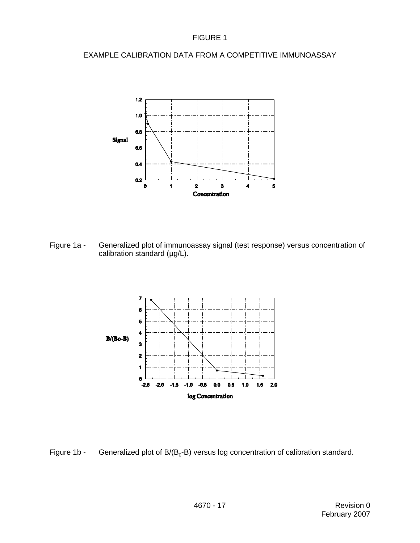## FIGURE 1

## EXAMPLE CALIBRATION DATA FROM A COMPETITIVE IMMUNOASSAY



Figure 1a - Generalized plot of immunoassay signal (test response) versus concentration of calibration standard (µg/L).



Figure 1b - Generalized plot of  $B/(B_0-B)$  versus log concentration of calibration standard.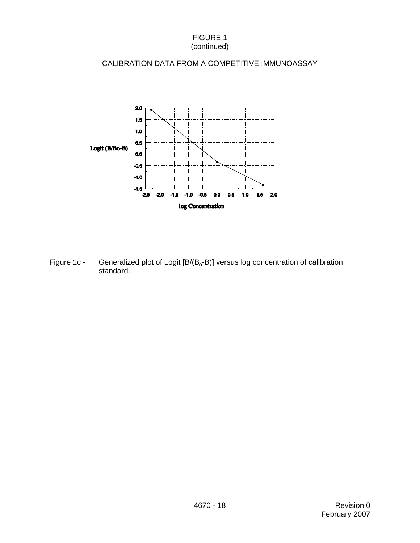### FIGURE 1 (continued)

## CALIBRATION DATA FROM A COMPETITIVE IMMUNOASSAY



Figure 1c - Generalized plot of Logit  $[B/(B_0-B)]$  versus log concentration of calibration standard.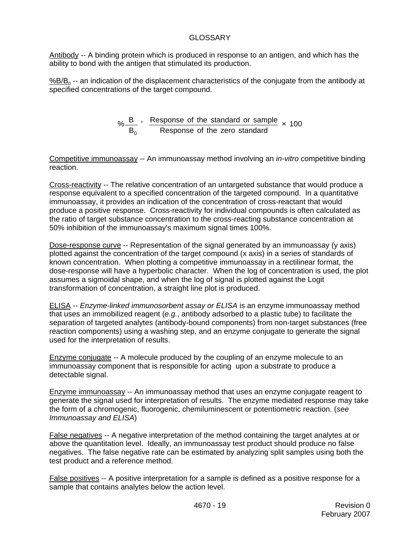## GLOSSARY

Antibody -- A binding protein which is produced in response to an antigen, and which has the ability to bond with the antigen that stimulated its production.

%B/B<sub>0</sub> -- an indication of the displacement characteristics of the conjugate from the antibody at specified concentrations of the target compound.

$$
\% \frac{\text{B}}{\text{B}_0}
$$
  $\frac{\text{Response of the standard or sample}}{\text{Response of the zero standard}}$   $\times$  100

Competitive immunoassay -- An immunoassay method involving an *in-vitro* competitive binding reaction.

Cross-reactivity -- The relative concentration of an untargeted substance that would produce a response equivalent to a specified concentration of the targeted compound. In a quantitative immunoassay, it provides an indication of the concentration of cross-reactant that would produce a positive response. Cross-reactivity for individual compounds is often calculated as the ratio of target substance concentration to the cross-reacting substance concentration at 50% inhibition of the immunoassay's maximum signal times 100%.

Dose-response curve -- Representation of the signal generated by an immunoassay (y axis) plotted against the concentration of the target compound (x axis) in a series of standards of known concentration. When plotting a competitive immunoassay in a rectilinear format, the dose-response will have a hyperbolic character. When the log of concentration is used, the plot assumes a sigmoidal shape, and when the log of signal is plotted against the Logit transformation of concentration, a straight line plot is produced.

ELISA -- *Enzyme-linked immunosorbent assay or ELISA* is an enzyme immunoassay method that uses an immobilized reagent (*e.g.*, antibody adsorbed to a plastic tube) to facilitate the separation of targeted analytes (antibody-bound components) from non-target substances (free reaction components) using a washing step, and an enzyme conjugate to generate the signal used for the interpretation of results.

Enzyme conjugate -- A molecule produced by the coupling of an enzyme molecule to an immunoassay component that is responsible for acting upon a substrate to produce a detectable signal.

Enzyme immunoassay -- An immunoassay method that uses an enzyme conjugate reagent to generate the signal used for interpretation of results. The enzyme mediated response may take the form of a chromogenic, fluorogenic, chemiluminescent or potentiometric reaction. (*see Immunoassay and ELISA*)

False negatives -- A negative interpretation of the method containing the target analytes at or above the quantitation level. Ideally, an immunoassay test product should produce no false negatives. The false negative rate can be estimated by analyzing split samples using both the test product and a reference method.

False positives -- A positive interpretation for a sample is defined as a positive response for a sample that contains analytes below the action level.